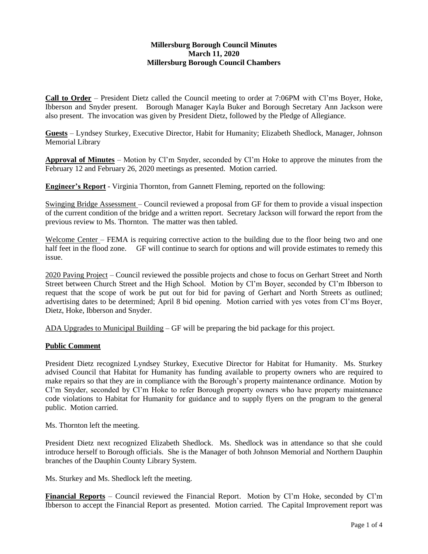## **Millersburg Borough Council Minutes March 11, 2020 Millersburg Borough Council Chambers**

**Call to Order** – President Dietz called the Council meeting to order at 7:06PM with Cl'ms Boyer, Hoke, Ibberson and Snyder present. Borough Manager Kayla Buker and Borough Secretary Ann Jackson were also present. The invocation was given by President Dietz, followed by the Pledge of Allegiance.

**Guests** – Lyndsey Sturkey, Executive Director, Habit for Humanity; Elizabeth Shedlock, Manager, Johnson Memorial Library

**Approval of Minutes** – Motion by Cl'm Snyder, seconded by Cl'm Hoke to approve the minutes from the February 12 and February 26, 2020 meetings as presented. Motion carried.

**Engineer's Report** - Virginia Thornton, from Gannett Fleming, reported on the following:

Swinging Bridge Assessment – Council reviewed a proposal from GF for them to provide a visual inspection of the current condition of the bridge and a written report. Secretary Jackson will forward the report from the previous review to Ms. Thornton. The matter was then tabled.

Welcome Center – FEMA is requiring corrective action to the building due to the floor being two and one half feet in the flood zone. GF will continue to search for options and will provide estimates to remedy this issue.

2020 Paving Project – Council reviewed the possible projects and chose to focus on Gerhart Street and North Street between Church Street and the High School. Motion by Cl'm Boyer, seconded by Cl'm Ibberson to request that the scope of work be put out for bid for paving of Gerhart and North Streets as outlined; advertising dates to be determined; April 8 bid opening. Motion carried with yes votes from Cl'ms Boyer, Dietz, Hoke, Ibberson and Snyder.

ADA Upgrades to Municipal Building – GF will be preparing the bid package for this project.

### **Public Comment**

President Dietz recognized Lyndsey Sturkey, Executive Director for Habitat for Humanity. Ms. Sturkey advised Council that Habitat for Humanity has funding available to property owners who are required to make repairs so that they are in compliance with the Borough's property maintenance ordinance. Motion by Cl'm Snyder, seconded by Cl'm Hoke to refer Borough property owners who have property maintenance code violations to Habitat for Humanity for guidance and to supply flyers on the program to the general public. Motion carried.

Ms. Thornton left the meeting.

President Dietz next recognized Elizabeth Shedlock. Ms. Shedlock was in attendance so that she could introduce herself to Borough officials. She is the Manager of both Johnson Memorial and Northern Dauphin branches of the Dauphin County Library System.

Ms. Sturkey and Ms. Shedlock left the meeting.

**Financial Reports** – Council reviewed the Financial Report. Motion by Cl'm Hoke, seconded by Cl'm Ibberson to accept the Financial Report as presented. Motion carried. The Capital Improvement report was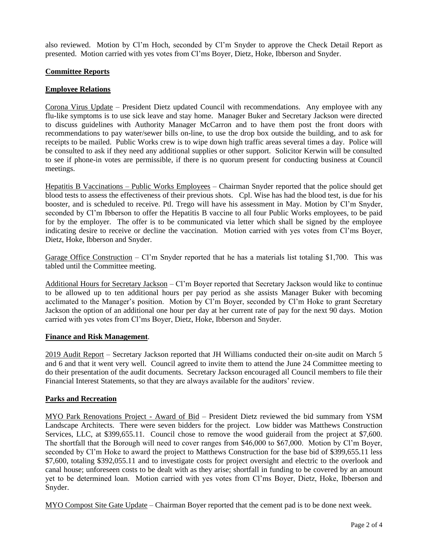also reviewed. Motion by Cl'm Hoch, seconded by Cl'm Snyder to approve the Check Detail Report as presented. Motion carried with yes votes from Cl'ms Boyer, Dietz, Hoke, Ibberson and Snyder.

## **Committee Reports**

## **Employee Relations**

Corona Virus Update – President Dietz updated Council with recommendations. Any employee with any flu-like symptoms is to use sick leave and stay home. Manager Buker and Secretary Jackson were directed to discuss guidelines with Authority Manager McCarron and to have them post the front doors with recommendations to pay water/sewer bills on-line, to use the drop box outside the building, and to ask for receipts to be mailed. Public Works crew is to wipe down high traffic areas several times a day. Police will be consulted to ask if they need any additional supplies or other support. Solicitor Kerwin will be consulted to see if phone-in votes are permissible, if there is no quorum present for conducting business at Council meetings.

Hepatitis B Vaccinations – Public Works Employees – Chairman Snyder reported that the police should get blood tests to assess the effectiveness of their previous shots. Cpl. Wise has had the blood test, is due for his booster, and is scheduled to receive. Ptl. Trego will have his assessment in May. Motion by Cl'm Snyder, seconded by Cl'm Ibberson to offer the Hepatitis B vaccine to all four Public Works employees, to be paid for by the employer. The offer is to be communicated via letter which shall be signed by the employee indicating desire to receive or decline the vaccination. Motion carried with yes votes from Cl'ms Boyer, Dietz, Hoke, Ibberson and Snyder.

Garage Office Construction – Cl'm Snyder reported that he has a materials list totaling \$1,700. This was tabled until the Committee meeting.

Additional Hours for Secretary Jackson – Cl'm Boyer reported that Secretary Jackson would like to continue to be allowed up to ten additional hours per pay period as she assists Manager Buker with becoming acclimated to the Manager's position. Motion by Cl'm Boyer, seconded by Cl'm Hoke to grant Secretary Jackson the option of an additional one hour per day at her current rate of pay for the next 90 days. Motion carried with yes votes from Cl'ms Boyer, Dietz, Hoke, Ibberson and Snyder.

### **Finance and Risk Management**.

2019 Audit Report – Secretary Jackson reported that JH Williams conducted their on-site audit on March 5 and 6 and that it went very well. Council agreed to invite them to attend the June 24 Committee meeting to do their presentation of the audit documents. Secretary Jackson encouraged all Council members to file their Financial Interest Statements, so that they are always available for the auditors' review.

### **Parks and Recreation**

MYO Park Renovations Project - Award of Bid – President Dietz reviewed the bid summary from YSM Landscape Architects. There were seven bidders for the project. Low bidder was Matthews Construction Services, LLC, at \$399,655.11. Council chose to remove the wood guiderail from the project at \$7,600. The shortfall that the Borough will need to cover ranges from \$46,000 to \$67,000. Motion by Cl'm Boyer, seconded by Cl'm Hoke to award the project to Matthews Construction for the base bid of \$399,655.11 less \$7,600, totaling \$392,055.11 and to investigate costs for project oversight and electric to the overlook and canal house; unforeseen costs to be dealt with as they arise; shortfall in funding to be covered by an amount yet to be determined loan. Motion carried with yes votes from Cl'ms Boyer, Dietz, Hoke, Ibberson and Snyder.

MYO Compost Site Gate Update – Chairman Boyer reported that the cement pad is to be done next week.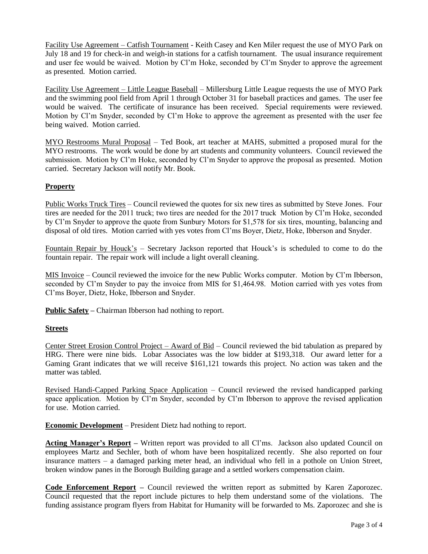Facility Use Agreement – Catfish Tournament - Keith Casey and Ken Miler request the use of MYO Park on July 18 and 19 for check-in and weigh-in stations for a catfish tournament. The usual insurance requirement and user fee would be waived. Motion by Cl'm Hoke, seconded by Cl'm Snyder to approve the agreement as presented. Motion carried.

Facility Use Agreement – Little League Baseball – Millersburg Little League requests the use of MYO Park and the swimming pool field from April 1 through October 31 for baseball practices and games. The user fee would be waived. The certificate of insurance has been received. Special requirements were reviewed. Motion by Cl'm Snyder, seconded by Cl'm Hoke to approve the agreement as presented with the user fee being waived. Motion carried.

MYO Restrooms Mural Proposal – Ted Book, art teacher at MAHS, submitted a proposed mural for the MYO restrooms. The work would be done by art students and community volunteers. Council reviewed the submission. Motion by Cl'm Hoke, seconded by Cl'm Snyder to approve the proposal as presented. Motion carried. Secretary Jackson will notify Mr. Book.

# **Property**

Public Works Truck Tires – Council reviewed the quotes for six new tires as submitted by Steve Jones. Four tires are needed for the 2011 truck; two tires are needed for the 2017 truck Motion by Cl'm Hoke, seconded by Cl'm Snyder to approve the quote from Sunbury Motors for \$1,578 for six tires, mounting, balancing and disposal of old tires. Motion carried with yes votes from Cl'ms Boyer, Dietz, Hoke, Ibberson and Snyder.

Fountain Repair by Houck's – Secretary Jackson reported that Houck's is scheduled to come to do the fountain repair. The repair work will include a light overall cleaning.

MIS Invoice – Council reviewed the invoice for the new Public Works computer. Motion by Cl'm Ibberson, seconded by Cl'm Snyder to pay the invoice from MIS for \$1,464.98. Motion carried with yes votes from Cl'ms Boyer, Dietz, Hoke, Ibberson and Snyder.

**Public Safety –** Chairman Ibberson had nothing to report.

### **Streets**

Center Street Erosion Control Project – Award of Bid – Council reviewed the bid tabulation as prepared by HRG. There were nine bids. Lobar Associates was the low bidder at \$193,318. Our award letter for a Gaming Grant indicates that we will receive \$161,121 towards this project. No action was taken and the matter was tabled.

Revised Handi-Capped Parking Space Application – Council reviewed the revised handicapped parking space application. Motion by Cl'm Snyder, seconded by Cl'm Ibberson to approve the revised application for use. Motion carried.

**Economic Development** – President Dietz had nothing to report.

**Acting Manager's Report –** Written report was provided to all Cl'ms. Jackson also updated Council on employees Martz and Sechler, both of whom have been hospitalized recently. She also reported on four insurance matters – a damaged parking meter head, an individual who fell in a pothole on Union Street, broken window panes in the Borough Building garage and a settled workers compensation claim.

**Code Enforcement Report –** Council reviewed the written report as submitted by Karen Zaporozec. Council requested that the report include pictures to help them understand some of the violations. The funding assistance program flyers from Habitat for Humanity will be forwarded to Ms. Zaporozec and she is